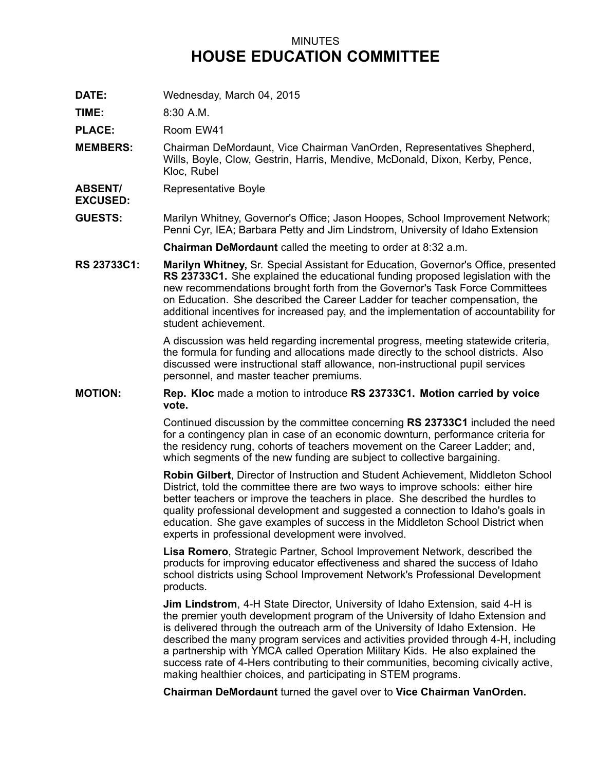## MINUTES **HOUSE EDUCATION COMMITTEE**

**DATE:** Wednesday, March 04, 2015

**TIME:** 8:30 A.M.

**PLACE:** Room EW41

- **MEMBERS:** Chairman DeMordaunt, Vice Chairman VanOrden, Representatives Shepherd, Wills, Boyle, Clow, Gestrin, Harris, Mendive, McDonald, Dixon, Kerby, Pence, Kloc, Rubel
- **ABSENT/** Representative Boyle

**EXCUSED:**

**GUESTS:** Marilyn Whitney, Governor's Office; Jason Hoopes, School Improvement Network; Penni Cyr, IEA; Barbara Petty and Jim Lindstrom, University of Idaho Extension

**Chairman DeMordaunt** called the meeting to order at 8:32 a.m.

**RS 23733C1: Marilyn Whitney,** Sr. Special Assistant for Education, Governor's Office, presented **RS 23733C1.** She explained the educational funding proposed legislation with the new recommendations brought forth from the Governor's Task Force Committees on Education. She described the Career Ladder for teacher compensation, the additional incentives for increased pay, and the implementation of accountability for student achievement.

> A discussion was held regarding incremental progress, meeting statewide criteria, the formula for funding and allocations made directly to the school districts. Also discussed were instructional staff allowance, non-instructional pupil services personnel, and master teacher premiums.

## **MOTION: Rep. Kloc** made <sup>a</sup> motion to introduce **RS 23733C1. Motion carried by voice vote.**

Continued discussion by the committee concerning **RS 23733C1** included the need for <sup>a</sup> contingency plan in case of an economic downturn, performance criteria for the residency rung, cohorts of teachers movement on the Career Ladder; and, which segments of the new funding are subject to collective bargaining.

**Robin Gilbert**, Director of Instruction and Student Achievement, Middleton School District, told the committee there are two ways to improve schools: either hire better teachers or improve the teachers in place. She described the hurdles to quality professional development and suggested <sup>a</sup> connection to Idaho's goals in education. She gave examples of success in the Middleton School District when experts in professional development were involved.

**Lisa Romero**, Strategic Partner, School Improvement Network, described the products for improving educator effectiveness and shared the success of Idaho school districts using School Improvement Network's Professional Development products.

**Jim Lindstrom**, 4-H State Director, University of Idaho Extension, said 4-H is the premier youth development program of the University of Idaho Extension and is delivered through the outreach arm of the University of Idaho Extension. He described the many program services and activities provided through 4-H, including <sup>a</sup> partnership with YMCA called Operation Military Kids. He also explained the success rate of 4-Hers contributing to their communities, becoming civically active, making healthier choices, and participating in STEM programs.

**Chairman DeMordaunt** turned the gavel over to **Vice Chairman VanOrden.**